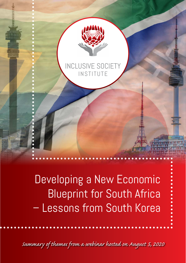

### INCLUSIVE SOCIET INSTITUTE

Developing a New Economic Blueprint for South Africa – Lessons from South Korea

*Summary of themes from a webinar hosted on August 5, 2020*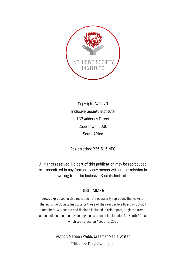

Copyright © 2020 Inclusive Society Institute 132 Adderley Street Cape Town, 8000 South Africa

Registration: 235-515 NPO

All rights reserved. No part of this publication may be reproduced or transmitted in any form or by any means without permission in writing from the Inclusive Society Institute

#### DISCLAIMER

Views expressed in this report do not necessarily represent the views of the Inclusive Society Institute or those of their respective Board or Council members. All records and findings included in this report, originate from a panel discussion on developing a new economic blueprint for South Africa, which took place on August 5, 2020

> Author: Mariaan Webb, Creamer Media Writer Edited by: Daryl Swanepoel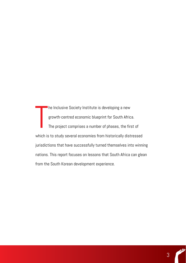T **he Inclusive Society Institute is developing a new** growth-centred economic blueprint for South Africa. The project comprises a number of phases, the first of which is to study several economies from historically distressed jurisdictions that have successfully turned themselves into winning nations. This report focuses on lessons that South Africa can glean from the South Korean development experience.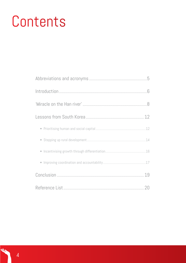# Contents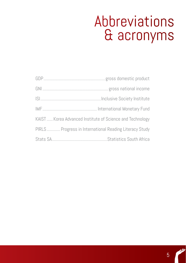## Abbreviations & acronyms

| KAIST Korea Advanced Institute of Science and Technology |  |
|----------------------------------------------------------|--|
| PIRLS Progress in International Reading Literacy Study   |  |
|                                                          |  |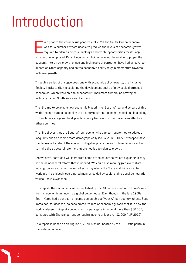## Introduction

E ven prior to the coronavirus pandemic of 2020, the South African economy was for a number of years unable to produce the levels of economic growth required to address historic backlogs and create opportunities for its large number of unemployed. Recent economic choices have not been able to propel the economy into a new growth phase and high levels of corruption have had an adverse impact on State capacity and on the economy's ability to gain momentum towards inclusive growth.

Through a series of dialogue sessions with economic policy experts, the Inclusive Society Institute (ISI) is exploring the development paths of previously distressed economies, which were able to successfully implement turnaround strategies, including Japan, South Korea and Germany.

The ISI aims to develop a new economic blueprint for South Africa, and as part of this work, the institute is assessing the country's current economic model and is seeking to benchmark it against best-practice policy frameworks that have been effective in other countries.

The ISI believes that the South African economy has to be transformed to address inequality and to become more demographically inclusive. CEO Daryl Swanepoel says the depressed state of the economy obligates policymakers to take decisive action to make the structural reforms that are needed to reignite growth.

"As we have learnt and will learn from some of the countries we are exploring, it may not be all neoliberal reform that is needed. We could also more aggressively start moving towards an effective mixed economy where the State and private sector work in a more closely coordinated manner, guided by social and national democratic values," says Swanepoel.

This report, the second in a series published by the ISI, focuses on South Korea's rise from an economic minnow to a global powerhouse. Even though in the late 1950s South Korea had a per capita income comparable to West African country, Ghana, South Korea has, for decades, so accelerated its rate of economic growth that it is now the world's eleventh-biggest economy with a per capita income of more than \$30 000, compared with Ghana's current per capita income of just over \$2 000 (IMF, 2019).

This report is based on an August 5, 2020, webinar hosted by the ISI. Participants in the webinar included: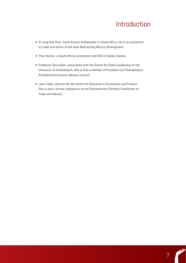## Introduction

7

alli

- Dr Jong-Dae Park, South Korean Ambassador to South Africa. He is an economist by trade and author of the book Reinventing Africa's Development.
- Theo Vorster, a South African economist and CEO at Galileo Capital.
- Professor Tania Ajam, associated with the School for Public Leadership at the University of Stellenbosch. She is also a member of President Cyril Ramaphosa's Presidential Economic Advisory Council.
- Joan Fubbs, director for the Centre for Education in Economics and Finance. She is also a former chairperson of the Parliamentary Portfolio Committee on Trade and Industry.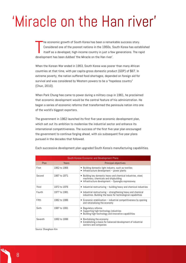he economic growth of South Korea has been a remar<br>Considered one of the poorest nations in the 1950s, S<br>itself as a developed, high-income country in just a fe<br>development has been dubbed 'the Miracle on the Han river'. he economic growth of South Korea has been a remarkable success story. Considered one of the poorest nations in the 1950s, South Korea has established itself as a developed, high-income country in just a few generations. The rapid

When the Korean War ended in 1953, South Korea was poorer than many African countries at that time, with per capita gross domestic product (GDP) of \$67. In extreme poverty, the nation suffered food shortages, depended on foreign aid for survival and was considered by Western powers to be a "hopeless country" (Chun, 2010).

When Park Chung-hee came to power during a military coup in 1961, he proclaimed that economic development would be the central feature of his administration. He began a series of economic reforms that transformed the peninsula nation into one of the world's biggest exporters.

The government in 1962 launched its first five-year economic development plan, which set out its ambition to modernise the industrial sector and enhance its international competitiveness. The success of the first five-year plan encouraged the government to continue forging ahead, with six subsequent five-year plans pursued in the decades that followed.

| South Korean Economic and Development Plans |              |                                                                                                                                                               |  |
|---------------------------------------------|--------------|---------------------------------------------------------------------------------------------------------------------------------------------------------------|--|
| Plan                                        | Years        | <b>Principal objectives</b>                                                                                                                                   |  |
| First                                       | 1962 to 1966 | Building domestic light industry, such as textiles<br>$\bullet$<br>• Infrastructure development - power plants                                                |  |
| Second                                      | 1967 to 1971 | Building key domestic heavy and chemical industries, steel,<br>٠<br>machinery, chemicals and shipbuilding<br>Infrastructure development - Gyeongbu expressway |  |
| Third                                       | 1972 to 1976 | • Industrial restructuring – building heavy and chemical industries                                                                                           |  |
| Fourth                                      | 1977 to 1981 | $\bullet$ Industrial restructuring $-$ strengthening heavy and chemical<br>industries. Building the basis for technological capabilities                      |  |
| Fifth                                       | 1982 to 1986 | $\bullet$ Economic stabilisation – industrial competitiveness by opening<br>and rationalising the economy                                                     |  |
| Sixth                                       | 1987 to 1991 | • Regulatory reforms<br>• Supporting high-technology industries<br>Building high-technology and innovative capabilities                                       |  |
| Seventh                                     | 1992 to 1996 | • Revitalising the economy<br>Establishing a basis for balanced development of industrial<br>٠<br>sectors and companies                                       |  |

Each successive development plan upgraded South Korea's manufacturing capabilities.

Source: Shanghoon Kim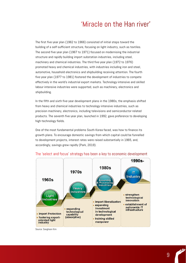The first five-year plan (1962 to 1966) consisted of initial steps toward the building of a self-sufficient structure, focusing on light industry, such as textiles. The second five-year plan (1967 to 1971) focused on modernising the industrial structure and rapidly building import substation industries, including steel, machinery and chemical industries. The third five-year plan (1972 to 1976) promoted heavy and chemical industries, with industries including iron and steel, automotive, household electronics and shipbuilding receiving attention. The fourth five-year plan (1977 to 1981) fostered the development of industries to compete effectively in the world's industrial export markets. Technology-intensive and skilled labour-intensive industries were supported, such as machinery, electronics and shipbuilding.

In the fifth and sixth five-year development plans in the 1980s, the emphasis shifted from heavy and chemical industries to technology-intensive industries, such as precision machinery, electronics, including televisions and semiconductor-related products. The seventh five-year plan, launched in 1992, gave preference to developing high-technology fields.

One of the most fundamental problems South Korea faced, was how to finance its growth plans. To encourage domestic savings from which capital could be funnelled to development projects, interest rates were raised substantially in 1965, and, accordingly, savings grew rapidly (Park, 2019).



#### The 'select and focus' strategy has been a key to economic development

Source: Sanghoon Kim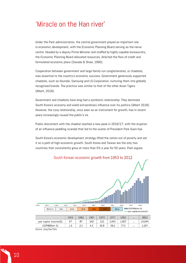Under the Park administration, the central government played an important role in economic development, with the Economic Planning Board serving as the nerve centre. Headed by a deputy Prime Minister and staffed by highly capable bureaucrats, the Economic Planning Board allocated resources, directed the flow of credit and formulated economic plans (Savada & Shaw, 1990).

Cooperation between government and large family-run conglomerates, or chaebols, was essential to the country's economic success. Government generously supported chaebols, such as Hyundai, Samsung and LG Corporation, nurturing them into globally recognised brands. The practice was similar to that of the other Asian Tigers (Albert, 2018).

Government and chaebols have long had a symbiotic relationship. They dominate South Korea's economy and wield extraordinary influence over its politics (Albert 2018). However, the cosy relationship, once seen as an instrument for growth, has in recent years increasingly roused the public's ire.

Public discontent with the chaebol reached a new peak in 2016/17, with the eruption of an influence-peddling scandal that led to the ouster of President Park Guen-hye.

South Korea's economic development strategy lifted the nation out of poverty and set it on a path of high economic growth. South Korea and Taiwan are the only two countries that consistently grew at more than 5% a year for 50 years. Park argues

South Korean economic growth from 1953 to 2012



Source: Jong-Dae Park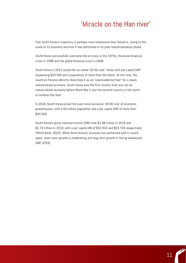that South Korea's trajectory is perhaps more impressive than Taiwan's, owing to the scale of its economy and how it has performed in its post-industrialisation phase.

South Korea successfully overcame the oil crisis in the 1970s, the Asian financial crisis in 1998 and the global financial crisis in 2008.

South Korea in 2012 joined the so-called '20-50-club', those with per capita GDP surpassing \$20 000 and a population of more than 50-million. At the time, the country's Finance Ministry described it as an "unprecedented feat" for a newly industrialised economy. South Korea was the first country that was not an industrialised economy before World War 2 and the seventh country in the world to achieve this feat.

In 2018, South Korea joined the even more exclusive '30-50 club' of economic powerhouses, with a 50-million population and a per capita GDP of more than \$30 000.

South Korea's gross national income (GNI) was \$1.68-trillion in 2018 and \$1.74-trillion in 2019, with a per capita GNI of \$32 610 and \$33 720 respectively (World Bank, 2020). While South Korea's economy has performed well in recent years, short-term growth is moderating and long-term growth is facing headwinds (IMF, 2019).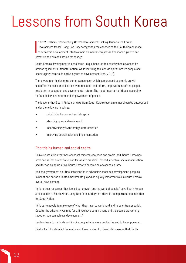$\begin{array}{ccc} \hline \ \hline \ \hline \ \hline \end{array}$ n his 2019 book, 'Reinventing Africa's Development: Linking Africa to the Korean Development Model', Jong-Dae Park categorises the essence of the South Korean model of economic development into two main elements: compressed economic growth and effective social mobilisation for change.

South Korea's development is considered unique because the country has advanced by promoting industrial transformation, while instilling the 'can-do-spirit' into its people and encouraging them to be active agents of development (Park 2019).

There were four fundamental cornerstones upon which compressed economic growth and effective social mobilisation were realised: land reform, empowerment of the people, revolution in education and governmental reform. The most important of these, according to Park, being land reform and empowerment of people.

The lessons that South Africa can take from South Korea's economic model can be categorised under the following headings:

- prioritising human and social capital
- stepping up rural development
- incentivising growth through differentiation
- improving coordination and implementation

#### Prioritising human and social capital

Unlike South Africa that has abundant mineral resources and arable land, South Korea has little natural resources to rely on for wealth creation. Instead, effective social mobilisation and its 'can-do spirit' drove South Korea to become an advanced country.

Besides government's critical intervention in advancing economic development, people's mindset and action-oriented movements played an equally important role in South Korea's overall development.

"It is not our resources that fuelled our growth, but the work of people," says South Korean Ambassador to South Africa, Jong-Dae Park, noting that there is an important lesson in that for South Africa.

"It is up to people to make use of what they have, to work hard and to be entrepreneurial. Despite the adversity you may face, if you have commitment and the people are working together, you can achieve development."

Leaders have to motivate and inspire people to be more productive and to be empowered.

Centre for Education in Economics and Finance director Joan Fubbs agrees that South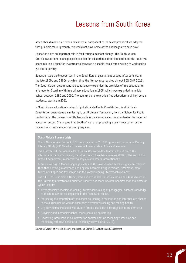Africa should make its citizens an essential component of its development. "If we adopted that principle more rigorously, we would not have some of the challenges we have now."

Education plays an important role in facilitating a mindset change. The South Korean State's investment in, and people's passion for, education laid the foundation for the country's economic rise. Education investments delivered a capable labour force, willing to work and to get out of poverty.

Education was the biggest item in the South Korean government budget, after defence, in the late 1950s and 1960s, at which time the literacy rate reached almost 90% (IMF, 2016). The South Korean government has continuously expanded the provision of free education to all students. Starting with free primary education in 1958, which was expanded to middle school between 1985 and 2005. The country plans to provide free education to all high school students, starting in 2021.

In South Korea, education is a basic right stipulated in its Constitution. South Africa's Constitution guarantees a similar right, but Professor Tania Ajam, from the School for Public Leadership at the University of Stellenbosch, is concerned about the standard of the country's education output. She argues that South Africa is not producing a quality education or the type of skills that a modern economy requires.

#### South Africa's literacy crisis

Literacy Study (PIRLS), which measures literacy rates of Grade 4 learners.

The study found that about 78% of South African Grade 4 learners do not reach the

Learners writing in African languages attained the lowest mean scores, significantly lower

The 'PIRLS 2016 in South Africa', produced by the Centre for Evaluation and Assessment of

- Strengthening teaching of reading literacy and training of pedagogical content knowledge
- Increasing the proportion of time spent on reading in foundation and intermediate phases
- Urgently reducing class sizes. (South Africa's class sizes average about 45 learners.)
- Providing and increasing school resources such as libraries.
- Reviewing interventions on information communication technology provision and

Source: University of Pretoria, Faculty of Education's Centre for Evaluation and Assessment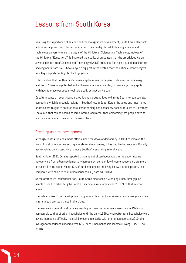Realising the importance of science and technology in its development, South Korea also took a different approach with tertiary education. The country placed its leading science and technology university under the aegis of the Ministry of Science and Technology, instead of the Ministry of Education. This improved the quality of graduates that the prestigious Korea Advanced Institute of Science and Technology (KAIST) produces. The highly qualified scientists and engineers from KAIST have played a big part in the status that the nation currently enjoys as a large exporter of high-technology goods.

Fubbs states that South Africa's human capital remains comparatively weak in technology and skills: "There is a potential and willingness in human capital, but we are yet to grapple with how to empower people technologically as fast as we can."

Despite a spate of recent scandals, ethics has a strong foothold in the South Korean society, something which is arguably lacking in South Africa. In South Korea, the value and importance of ethics are taught to children throughout primary and secondary school, through to university. The aim is that ethics should become internalised rather than something that people have to learn as adults when they enter the work place.

#### Stepping up rural development

Although South Africa has made efforts since the dawn of democracy in 1994 to improve the lives of rural communities and regenerate rural economies, it has had limited success. Poverty has remained consistently high among South Africans living in rural areas.

South Africa's 2011 Census reported that nine out of ten households in the upper-income category are from urban settlements, whereas no-income or low-income households are more prevalent in rural areas. About 43% of rural households are living below the food poverty line, compared with about 28% of urban households (Stats SA, 2015).

At the start of its industrialisation, South Korea also faced a widening urban-rural gap, as people rushed to cities for jobs. In 1971, income in rural areas was 78.80% of that in urban areas.

Through a focused rural development programme, this trend was reversed and average incomes in rural areas overtook those in the cities.

The average income of rural families was higher than that of urban households in 1975, and comparable to that of urban households until the early 1990s, whereafter rural households were having increasing difficulty maintaining economic parity with their urban peers. In 2010, the average farm household income was 66.70% of urban household income (Hwang, Park & Lee, 2018).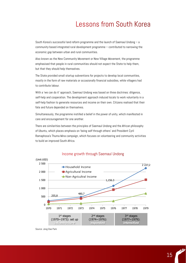South Korea's successful land reform programme and the launch of Saemaul Undong – a community-based integrated rural development programme – contributed to narrowing the economic gap between urban and rural communities.

Also known as the New Community Movement or New Village Movement, the programme emphasised that people in rural communities should not expect the State to help them, but that they should help themselves.

The State provided small startup subventions for projects to develop local communities, mostly in the form of raw materials or occasionally financial subsidies, while villagers had to contribute labour.

With a 'we can do it' approach, Saemaul Undong was based on three doctrines: diligence, self-help and cooperation. The development approach induced locals to work voluntarily in a self-help fashion to generate resources and income on their own. Citizens realised that their fate and future depended on themselves.

Simultaneously, the programme instilled a belief in the power of unity, which manifested in care and encouragement for one another.

There are similarities between the principles of Saemaul Undong and the African philosophy of Ubuntu, which places emphasis on 'being self through others' and President Cyril Ramaphosa's Thuma Mina campaign, which focuses on volunteering and community activities to build an improved South Africa.



#### Income growth through Saemaul Undong

15

Source: Jong-Dae Park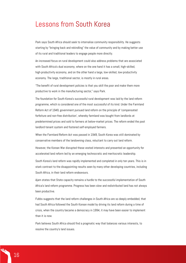Park says South Africa should seek to internalise community responsibility. He suggests starting by "bringing back and rekindling" the value of community and by making better use of its rural and traditional leaders to engage people more directly.

An increased focus on rural development could also address problems that are associated with South Africa's dual economy, where on the one hand it has a small, high-skilled, high-productivity economy, and on the other hand a large, low-skilled, low-productivity economy. The large, traditional sector, is mostly in rural areas.

"The benefit of rural development policies is that you skill the poor and make them more productive to work in the manufacturing sector," says Park.

The foundation for South Korea's successful rural development was laid by the land reform programme, which is considered one of the most successful of its kind. Under the Farmland Reform Act of 1949, government pursued land reform on the principle of 'compensated forfeiture and non-free distribution', whereby farmland was bought from landlords at predetermined prices and sold to farmers at below-market prices. The reform ended the past landlord-tenant system and fostered self-employed farmers.

When the Farmland Reform Act was passed in 1949, South Korea was still dominated by conservative members of the landowning class, reluctant to carry out land reform.

However, the Korean War disrupted these vested interests and presented an opportunity for accelerated land reform led by an emerging technocratic and meritocratic leadership.

South Korea's land reform was rapidly implemented and completed in only ten years. This is in stark contrast to the disappointing results seen by many other developing countries, including South Africa, in their land reform endeavours.

Ajam states that State capacity remains a hurdle to the successful implementation of South Africa's land reform programme. Progress has been slow and redistributed land has not always been productive.

Fubbs suggests that the land reform challenges in South Africa are so deeply embedded, that had South Africa followed the South Korean model by driving its land reform during a time of crisis, when the country became a democracy in 1994, it may have been easier to implement than it is now.

Park believes South Africa should find a pragmatic way that balances various interests, to resolve the country's land issues.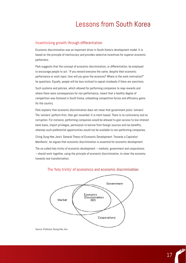#### Incentivising growth through differentiation

Economic discrimination was an important driver in South Korea's development model. It is based on the principle of meritocracy and provides selective incentives for superior economic performers.

Park suggests that the concept of economic discrimination, or differentiation, be employed to encourage people to act. "If you reward everyone the same, despite their economic performance or work input, how will you grow the economy? Where is the work motivation?" he questions. Equally, people will be less inclined to repeat misdeeds if there are sanctions.

Such systems and policies, which allowed for performing companies to reap rewards and where there were consequences for non-performance, meant that a healthy degree of competition was fostered in South Korea, unleashing competitive forces and efficiency gains for the country.

Park explains that economic discrimination does not mean that government picks 'winners'. The 'winners' perform first, then get rewarded. It is merit based. There is no controversy and no corruption. For instance, performing companies would be allowed to gain access to low-interest bank loans, import privileges, permission to borrow from foreign sources and tax benefits, whereas such preferential opportunities would not be available to non-performing companies.

Citing Sung-Hee Jwa's 'General Theory of Economic Development: Towards a Capitalist Manifesto', he argues that economic discrimination is essential for economic development.

The so-called holy trinity of economic development – markets, government and corporations – should work together, using the principle of economic discrimination, to steer the economy towards real transformation.



#### The 'holy trinity' of economics and economic discrimination

Source: Professor Seung-Hee Jwa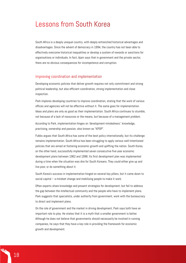South Africa is a deeply unequal country, with deeply entrenched historical advantages and disadvantages. Since the advent of democracy in 1994, the country has not been able to effectively overcome historical inequalities or develop a system of rewards or sanctions for organisations or individuals. In fact, Ajam says that in government and the private sector, there are no obvious consequences for incompetence and corruption.

#### Improving coordination and implementation

Developing economic policies that deliver growth requires not only commitment and strong political leadership, but also efficient coordination, strong implementation and close inspection.

Park implores developing countries to improve coordination, stating that the work of various offices and agencies will not be effective without it. The same goes for implementation. Ideas and plans are only as good as their implementation. South Africa continues to stumble, not because of a lack of resources or the means, but because of a management problem.

According to Park, implementation hinges on 'development-mindedness': knowledge, practising, ownership and passion, also known as "KPOP".

Fubbs argues that South Africa has some of the best policy internationally, but its challenge remains implementation. South Africa has been struggling to apply various well-intentioned policies that are aimed at fostering economic growth and uplifting the nation. South Korea, on the other hand, successfully implemented seven consecutive five-year economic development plans between 1962 and 1996. Its first development plan was implemented during a time when the situation was dire for South Koreans. They could either give up and live poor, or do something about it.

South Korea's success in implementation hinged on several key pillars, but it came down to social capital – a mindset change and mobilising people to make it work.

Often experts share knowledge and present strategies for development, but fail to address the gap between the intellectual community and the people who have to implement plans. Park suggests that specialists, under authority from government, work with the bureaucracy to direct and implement plans.

On the role of government and the market in driving development, Park says both have an important role to play. He states that it is a myth that a smaller government is better. Although he does not believe that governments should necessarily be involved in running companies, he says that they have a key role in providing the framework for economic growth and development.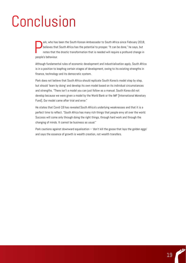# Conclusion

P<br><sub>mont</sub> ark, who has been the South Korean Ambassador to South Africa since February 2018, believes that South Africa has the potential to prosper. "It can be done," he says, but notes that the drastic transformation that is needed will require a profound change in people's behaviour.

Although fundamental rules of economic development and industrialisation apply, South Africa is in a position to leapfrog certain stages of development, owing to its existing strengths in finance, technology and its democratic system.

Park does not believe that South Africa should replicate South Korea's model step by step, but should 'learn by doing' and develop its own model based on its individual circumstances and strengths. "There isn't a model you can just follow as a manual. South Korea did not develop because we were given a model by the World Bank or the IMF [International Monetary Fund]. Our model came after trial and error."

He states that Covid-19 has revealed South Africa's underlying weaknesses and that it is a perfect time to reflect. "South Africa has many rich things that people envy all over the world. Success will come only through doing the right things, through hard work and through the changing of minds. It cannot be business as usual."

Park cautions against downward equalisation  $-$  'don't kill the goose that lays the golden eggs' and says the essence of growth is wealth creation, not wealth transfers.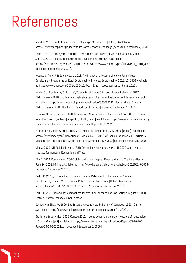## References

Albert, E. 2018. South Korea's chaebol challenge, May 4, 2018. [Online]. Available at: https://www.cfr.org/backgrounder/south-koreas-chaebol-challenge [accessed September 2, 2020].

Chun, S. 2010. Strategy for Industrial Development and Growth of Major Industries in Korea, April 19, 2010. Seoul: Korea Institute for Development Strategy. Available at: https://web.archive.org/web/20131011120833/http://www.kds.re.kr/pds/102/MRDA\_2010\_4.pdf [accessed September 2, 2020].

Hwang, J., Park, J. & Seongwoo, L. 2018. The Impact of the Comprehensive Rural Village Development Programme on Rural Sustainability in Korea. Sustainability 2018, 10, 2436. Available at: https://www.mdpi.com/2071-1050/10/7/2436/htm [accessed September 2, 2020].

Howie, S.J., Combrinck, C., Roux, K., Tshele, M., Mokoena G.M., and McLeod Palanie, N. 2017. PIRLS Literacy 2016: South African highlights report. Centre for Evaluation and Assessment. [pdf] Available at: https://www.researchgate.net/publication/326588545\_South\_Africa\_Grade\_4 PIRLS\_Literacy\_2016\_Highlights\_Report\_South\_Africa [accessed September 2, 2020].

Inclusive Society Institute. 2020. Developing a New Economic Blueprint for South Africa: Lessons from South Korea [webinar], August 5, 2020. [Online] Available at: https://www.inclusivesociety.org. za/economic-blueprint-for-sa-s-korea [accessed September 2, 2020].

International Monetary Fund. 2019. 2019 Article IV Consultation, May 2019. [Online] Available at: https://www.imf.org/en/Publications/CR/Issues/2019/05/13/Republic-of-Korea-2019-Article-IV-Consultation-Press-Release-Staff-Report-and-Statement-by-46890 [accessed: August 31, 2020].

Kim, S. 2020. STI Policies in Korea: R&D, Technology Innovation. August 5, 2020. Seoul: Korea Institute for Industrial Economics and Trade.

Kim, Y. 2012. Korea joining '20-50 club' marks new chapter: Finance Ministry. The Korea Herald. June 24, 2012. [Online]. Available at: http://www.koreaherald.com/view.php?ud=20120624000084 [accessed September 2, 2020].

Park, JD. (2019) Korea's Path of Development in Retrospect. In Re-Inventing Africa's Development, January 2019. London: Palgrave Macmillan, Cham. [Online] Available at: https://doi.org/10.1007/978-3-030-03946-2\_7 [accessed September 2, 2020.]

Park, JD. 2020. Korea's development model: evolution, essence and implications, August 5, 2020. Pretoria: Korean Embassy in South Africa.

Savada, A & Shaw, W. 1990. South Korea: A country study, Library of Congress, 1990. [Online] Available at: http://countrystudies.us/south-korea/ [accessed August 31, 2020].

Statistics South Africa. 2015. Census 2011: Income dynamics and poverty status of households in South Africa. [pdf] Available at: http://www.statssa.gov.za/publications/Report-03-10-10/ Report-03-10-102014.pdf [accessed September 2, 2020].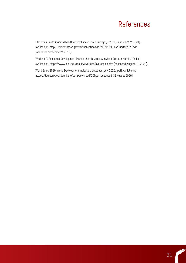# References References

Statistics South Africa. 2020. Quarterly Labour Force Survey: Q1 2020, June 23, 2020. [pdf]. Available at: http://www.statssa.gov.za/publications/P0211/P02111stQuarter2020.pdf [accessed September 2, 2020].

Watkins, T. Economic Development Plans of South Korea, San Jose State University [Online] Available at: https://www.sjsu.edu/faculty/watkins/skoreaplan.htm [accessed: August 31, 2020].

World Bank. 2020. World Development Indicators database, July 2020. [pdf] Available at: https://databank.worldbank.org/data/download/GDP.pdf [accessed: 31 August 2020].

alli